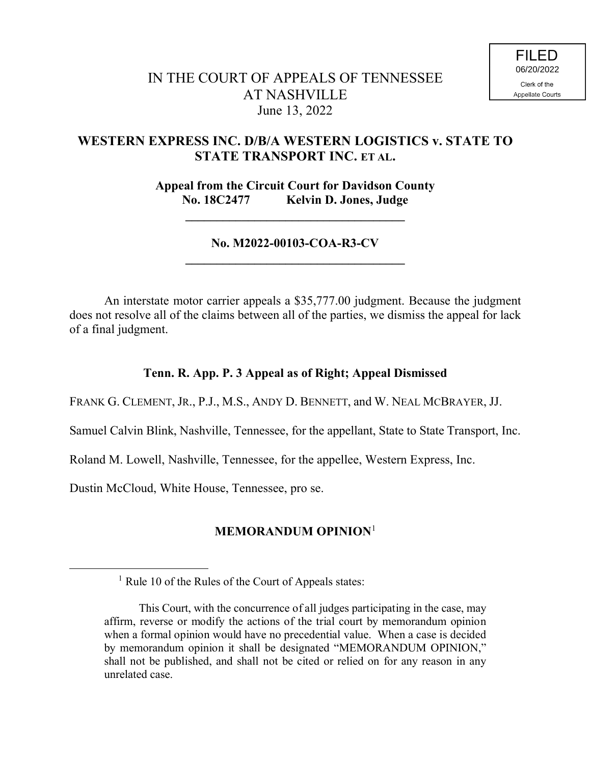# **WESTERN EXPRESS INC. D/B/A WESTERN LOGISTICS v. STATE TO STATE TRANSPORT INC. ET AL.**

**Appeal from the Circuit Court for Davidson County No. 18C2477 Kelvin D. Jones, Judge**

**\_\_\_\_\_\_\_\_\_\_\_\_\_\_\_\_\_\_\_\_\_\_\_\_\_\_\_\_\_\_\_\_\_\_\_**

### **No. M2022-00103-COA-R3-CV \_\_\_\_\_\_\_\_\_\_\_\_\_\_\_\_\_\_\_\_\_\_\_\_\_\_\_\_\_\_\_\_\_\_\_**

An interstate motor carrier appeals a \$35,777.00 judgment. Because the judgment does not resolve all of the claims between all of the parties, we dismiss the appeal for lack of a final judgment.

### **Tenn. R. App. P. 3 Appeal as of Right; Appeal Dismissed**

FRANK G. CLEMENT, JR., P.J., M.S., ANDY D. BENNETT, and W. NEAL MCBRAYER, JJ.

Samuel Calvin Blink, Nashville, Tennessee, for the appellant, State to State Transport, Inc.

Roland M. Lowell, Nashville, Tennessee, for the appellee, Western Express, Inc.

Dustin McCloud, White House, Tennessee, pro se.

 $\overline{a}$ 

## **MEMORANDUM OPINION**<sup>1</sup>

<sup>&</sup>lt;sup>1</sup> Rule 10 of the Rules of the Court of Appeals states:

This Court, with the concurrence of all judges participating in the case, may affirm, reverse or modify the actions of the trial court by memorandum opinion when a formal opinion would have no precedential value. When a case is decided by memorandum opinion it shall be designated "MEMORANDUM OPINION," shall not be published, and shall not be cited or relied on for any reason in any unrelated case.